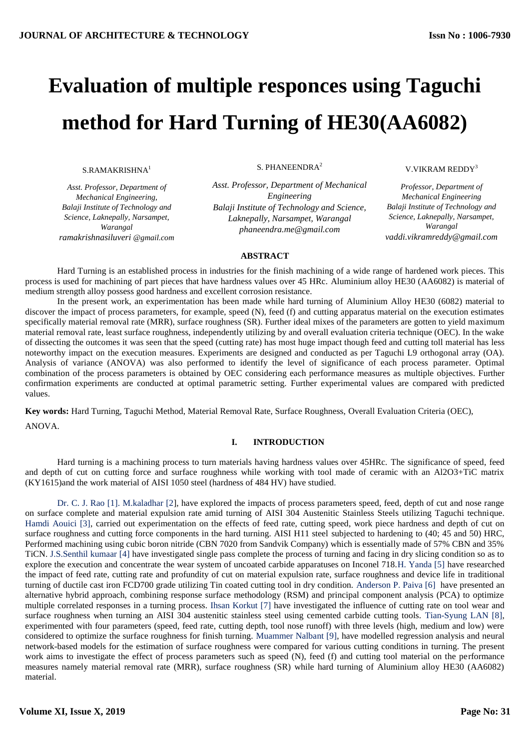# **Evaluation of multiple responces using Taguchi method for Hard Turning of HE30(AA6082)**

S.RAMAKRISHNA<sup>1</sup>

*Asst. Professor, Department of Mechanical Engineering, Balaji Institute of Technology and Science, Laknepally, Narsampet, Warangal ramakrishnasiluveri @gmail.com* S. PHANEENDRA<sup>2</sup>

*Asst. Professor, Department of Mechanical Engineering Balaji Institute of Technology and Science, Laknepally, Narsampet, Warangal phaneendra.me@gmail.com*

#### V.VIKRAM REDDY<sup>3</sup>

*Professor, Department of Mechanical Engineering Balaji Institute of Technology and Science, Laknepally, Narsampet, Warangal vaddi.vikramreddy@gmail.com*

## **ABSTRACT**

Hard Turning is an established process in industries for the finish machining of a wide range of hardened work pieces. This process is used for machining of part pieces that have hardness values over 45 HRc. Aluminium alloy HE30 (AA6082) is material of medium strength alloy possess good hardness and excellent corrosion resistance.

In the present work, an experimentation has been made while hard turning of Aluminium Alloy HE30 (6082) material to discover the impact of process parameters, for example, speed (N), feed (f) and cutting apparatus material on the execution estimates specifically material removal rate (MRR), surface roughness (SR). Further ideal mixes of the parameters are gotten to yield maximum material removal rate, least surface roughness, independently utilizing by and overall evaluation criteria technique (OEC). In the wake of dissecting the outcomes it was seen that the speed (cutting rate) has most huge impact though feed and cutting toll material has less noteworthy impact on the execution measures. Experiments are designed and conducted as per Taguchi L9 orthogonal array (OA). Analysis of variance (ANOVA) was also performed to identify the level of significance of each process parameter. Optimal combination of the process parameters is obtained by OEC considering each performance measures as multiple objectives. Further confirmation experiments are conducted at optimal parametric setting. Further experimental values are compared with predicted values.

**Key words:** Hard Turning, Taguchi Method, Material Removal Rate, Surface Roughness, Overall Evaluation Criteria (OEC), ANOVA.

# **I. INTRODUCTION**

Hard turning is a machining process to turn materials having hardness values over 45HRc. The significance of speed, feed and depth of cut on cutting force and surface roughness while working with tool made of ceramic with an Al2O3+TiC matrix (KY1615)and the work material of AISI 1050 steel (hardness of 484 HV) have studied.

 Dr. C. J. Rao [1]. M.kaladhar [2], have explored the impacts of process parameters speed, feed, depth of cut and nose range on surface complete and material expulsion rate amid turning of AISI 304 Austenitic Stainless Steels utilizing Taguchi technique. Hamdi Aouici [3], carried out experimentation on the effects of feed rate, cutting speed, work piece hardness and depth of cut on surface roughness and cutting force components in the hard turning. AISI H11 steel subjected to hardening to (40; 45 and 50) HRC, Performed machining using cubic boron nitride (CBN 7020 from Sandvik Company) which is essentially made of 57% CBN and 35% TiCN. J.S.Senthil kumaar [4] have investigated single pass complete the process of turning and facing in dry slicing condition so as to explore the execution and concentrate the wear system of uncoated carbide apparatuses on Inconel 718.H. Yanda [5] have researched the impact of feed rate, cutting rate and profundity of cut on material expulsion rate, surface roughness and device life in traditional turning of ductile cast iron FCD700 grade utilizing Tin coated cutting tool in dry condition. Anderson P. Paiva [6] have presented an alternative hybrid approach, combining response surface methodology (RSM) and principal component analysis (PCA) to optimize multiple correlated responses in a turning process. Ihsan Korkut [7] have investigated the influence of cutting rate on tool wear and surface roughness when turning an AISI 304 austenitic stainless steel using cemented carbide cutting tools. Tian-Syung LAN [8], experimented with four parameters (speed, feed rate, cutting depth, tool nose runoff) with three levels (high, medium and low) were considered to optimize the surface roughness for finish turning. Muammer Nalbant [9], have modelled regression analysis and neural network-based models for the estimation of surface roughness were compared for various cutting conditions in turning. The present work aims to investigate the effect of process parameters such as speed (N), feed (f) and cutting tool material on the performance measures namely material removal rate (MRR), surface roughness (SR) while hard turning of Aluminium alloy HE30 (AA6082) material.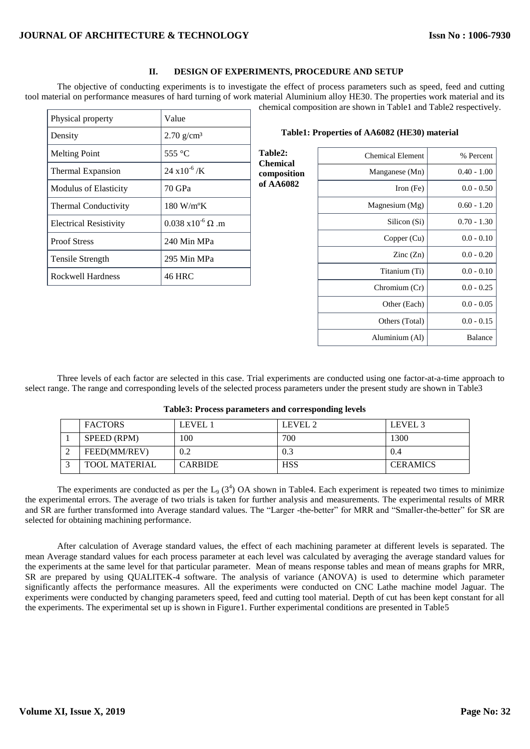# **II. DESIGN OF EXPERIMENTS, PROCEDURE AND SETUP**

The objective of conducting experiments is to investigate the effect of process parameters such as speed, feed and cutting tool material on performance measures of hard turning of work material Aluminium alloy HE30. The properties work material and its chemical composition are shown in Table1 and Table2 respectively.

| Physical property             | Value                             |
|-------------------------------|-----------------------------------|
| Density                       | $2.70$ g/cm <sup>3</sup>          |
| <b>Melting Point</b>          | 555 $\degree$ C                   |
| Thermal Expansion             | $24 \times 10^{-6}$ /K            |
| <b>Modulus of Elasticity</b>  | 70 GPa                            |
| <b>Thermal Conductivity</b>   | $180 \text{ W/m}^{\circ}\text{K}$ |
| <b>Electrical Resistivity</b> | $0.038 \times 10^{-6} \Omega$ .m  |
| <b>Proof Stress</b>           | 240 Min MPa                       |
| Tensile Strength              | 295 Min MPa                       |
| Rockwell Hardness             | 46 HRC                            |

| Table2:<br><b>Chemical</b><br>composition | <b>Chemical Element</b>  | % Percent      |
|-------------------------------------------|--------------------------|----------------|
|                                           | Manganese (Mn)           | $0.40 - 1.00$  |
| of AA6082                                 | Iron $(Fe)$              | $0.0 - 0.50$   |
|                                           | Magnesium (Mg)           | $0.60 - 1.20$  |
|                                           | Silicon (Si)             | $0.70 - 1.30$  |
|                                           | Copper (Cu)              | $0.0 - 0.10$   |
|                                           | $\text{Zinc}(\text{Zn})$ | $0.0 - 0.20$   |
|                                           | Titanium (Ti)            | $0.0 - 0.10$   |
|                                           | Chromium (Cr)            | $0.0 - 0.25$   |
|                                           | Other (Each)             | $0.0 - 0.05$   |
|                                           | Others (Total)           | $0.0 - 0.15$   |
|                                           | Aluminium (Al)           | <b>Balance</b> |
|                                           |                          |                |

 **Table1: Properties of AA6082 (HE30) material** 

Three levels of each factor are selected in this case. Trial experiments are conducted using one factor-at-a-time approach to select range. The range and corresponding levels of the selected process parameters under the present study are shown in Table3

|        | <b>FACTORS</b>       | LEVEL 1        | LEVEL 2    | LEVEL 3         |
|--------|----------------------|----------------|------------|-----------------|
|        | SPEED (RPM)          | 100            | 700        | 1300            |
| ◠      | FEED(MM/REV)         | 0.2            | 0.3        | 0.4             |
| $\sim$ | <b>TOOL MATERIAL</b> | <b>CARBIDE</b> | <b>HSS</b> | <b>CERAMICS</b> |

#### **Table3: Process parameters and corresponding levels**

The experiments are conducted as per the  $L_9$  (3<sup>4</sup>) OA shown in Table4. Each experiment is repeated two times to minimize the experimental errors. The average of two trials is taken for further analysis and measurements. The experimental results of MRR and SR are further transformed into Average standard values. The "Larger -the-better" for MRR and "Smaller-the-better" for SR are selected for obtaining machining performance.

After calculation of Average standard values, the effect of each machining parameter at different levels is separated. The mean Average standard values for each process parameter at each level was calculated by averaging the average standard values for the experiments at the same level for that particular parameter. Mean of means response tables and mean of means graphs for MRR, SR are prepared by using QUALITEK-4 software. The analysis of variance (ANOVA) is used to determine which parameter significantly affects the performance measures. All the experiments were conducted on CNC Lathe machine model Jaguar. The experiments were conducted by changing parameters speed, feed and cutting tool material. Depth of cut has been kept constant for all the experiments. The experimental set up is shown in Figure1. Further experimental conditions are presented in Table5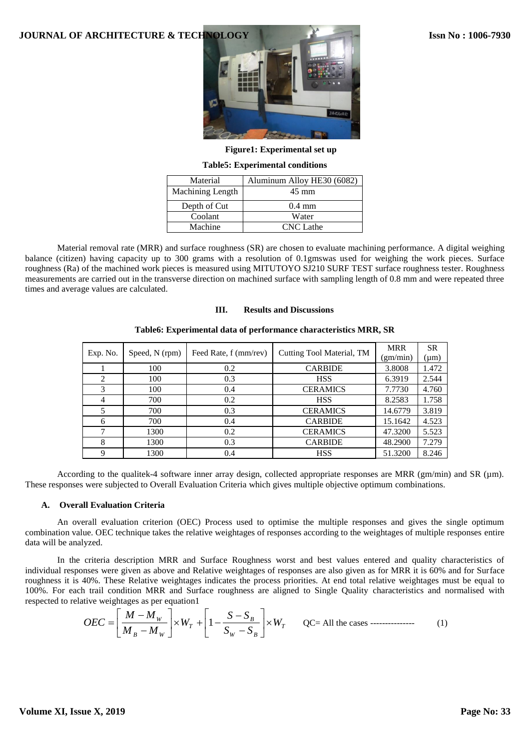

**Figure1: Experimental set up**

**Table5: Experimental conditions**

| Material         | Aluminum Alloy HE30 (6082) |
|------------------|----------------------------|
| Machining Length | $45 \text{ mm}$            |
| Depth of Cut     | $0.4 \text{ mm}$           |
| Coolant          | Water                      |
| Machine          | <b>CNC</b> Lathe           |

Material removal rate (MRR) and surface roughness (SR) are chosen to evaluate machining performance. A digital weighing balance (citizen) having capacity up to 300 grams with a resolution of 0.1gmswas used for weighing the work pieces. Surface roughness (Ra) of the machined work pieces is measured using MITUTOYO SJ210 SURF TEST surface roughness tester. Roughness measurements are carried out in the transverse direction on machined surface with sampling length of 0.8 mm and were repeated three times and average values are calculated.

## **III. Results and Discussions**

| Exp. No.       | Speed, N (rpm) | Feed Rate, f (mm/rev) | Cutting Tool Material, TM | <b>MRR</b><br>(gm/min) | <b>SR</b><br>$(\mu m)$ |
|----------------|----------------|-----------------------|---------------------------|------------------------|------------------------|
|                | 100            | 0.2                   | <b>CARBIDE</b>            | 3.8008                 | 1.472                  |
| $\mathfrak{D}$ | 100            | 0.3                   | <b>HSS</b>                | 6.3919                 | 2.544                  |
| 3              | 100            | 0.4                   | <b>CERAMICS</b>           | 7.7730                 | 4.760                  |
| 4              | 700            | 0.2                   | <b>HSS</b>                | 8.2583                 | 1.758                  |
|                | 700            | 0.3                   | <b>CERAMICS</b>           | 14.6779                | 3.819                  |
| 6              | 700            | 0.4                   | <b>CARBIDE</b>            | 15.1642                | 4.523                  |
| 7              | 1300           | 0.2                   | <b>CERAMICS</b>           | 47.3200                | 5.523                  |
| 8              | 1300           | 0.3                   | <b>CARBIDE</b>            | 48.2900                | 7.279                  |
|                | 1300           | 0.4                   | <b>HSS</b>                | 51.3200                | 8.246                  |

#### **Table6: Experimental data of performance characteristics MRR, SR**

According to the qualitek-4 software inner array design, collected appropriate responses are MRR (gm/min) and SR ( $\mu$ m). These responses were subjected to Overall Evaluation Criteria which gives multiple objective optimum combinations.

### **A. Overall Evaluation Criteria**

An overall evaluation criterion (OEC) Process used to optimise the multiple responses and gives the single optimum combination value. OEC technique takes the relative weightages of responses according to the weightages of multiple responses entire data will be analyzed.

In the criteria description MRR and Surface Roughness worst and best values entered and quality characteristics of individual responses were given as above and Relative weightages of responses are also given as for MRR it is 60% and for Surface roughness it is 40%. These Relative weightages indicates the process priorities. At end total relative weightages must be equal to 100%. For each trail condition MRR and Surface roughness are aligned to Single Quality characteristics and normalised with respected to relative weightages as per equation1

$$
OEC = \left[\frac{M - M_w}{M_B - M_w}\right] \times W_T + \left[1 - \frac{S - S_B}{S_w - S_B}\right] \times W_T
$$
 QC = All the cases -\t(1)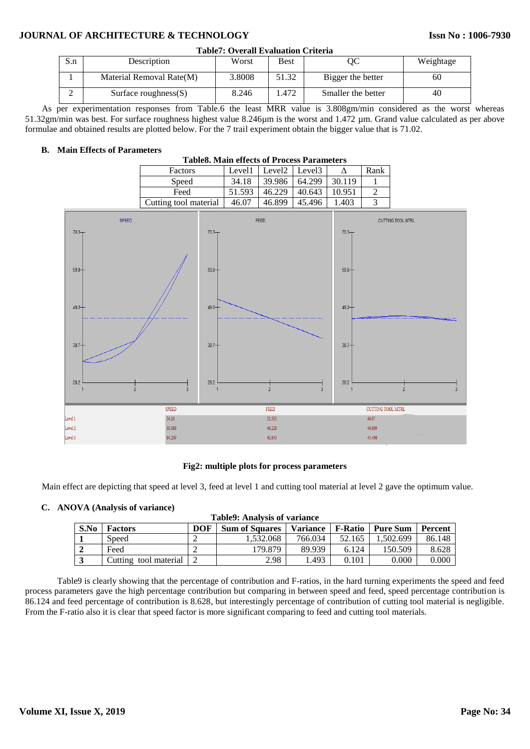# **JOURNAL OF ARCHITECTURE & TECHNOLOGY**

| <b>Table7: Overall Evaluation Criteria</b> |                          |        |             |                    |           |  |
|--------------------------------------------|--------------------------|--------|-------------|--------------------|-----------|--|
| S.n                                        | Description              | Worst  | <b>Best</b> | OС                 | Weightage |  |
|                                            | Material Removal Rate(M) | 3.8008 | 51.32       | Bigger the better  | 60        |  |
|                                            | Surface roughness $(S)$  | 8.246  | . 472       | Smaller the better | 40        |  |

As per experimentation responses from Table.6 the least MRR value is 3.808gm/min considered as the worst whereas 51.32gm/min was best. For surface roughness highest value 8.246µm is the worst and 1.472 µm. Grand value calculated as per above formulae and obtained results are plotted below. For the 7 trail experiment obtain the bigger value that is 71.02.

## **B. Main Effects of Parameters**

| <b>Table8. Main effects of Process Parameters</b> |        |                    |                    |        |      |  |
|---------------------------------------------------|--------|--------------------|--------------------|--------|------|--|
| Factors                                           | Level1 | Level <sub>2</sub> | Level <sub>3</sub> |        | Rank |  |
| Speed                                             | 34.18  | 39.986             | 64.299             | 30.119 |      |  |
| Feed                                              | 51.593 | 46.229             | 40.643             | 10.951 |      |  |
| Cutting tool material                             | 46.07  | 46.899             | 45.496             | 1.403  |      |  |



## **Fig2: multiple plots for process parameters**

Main effect are depicting that speed at level 3, feed at level 1 and cutting tool material at level 2 gave the optimum value.

#### **C. ANOVA (Analysis of variance)**

| <b>Table9: Analysis of variance</b> |                       |            |                       |                 |                |                 |                |
|-------------------------------------|-----------------------|------------|-----------------------|-----------------|----------------|-----------------|----------------|
| S.No                                | <b>Factors</b>        | <b>DOF</b> | <b>Sum of Squares</b> | <b>Variance</b> | <b>F-Ratio</b> | <b>Pure Sum</b> | <b>Percent</b> |
|                                     | Speed                 |            | 1.532.068             | 766.034         | 52.165         | 1.502.699       | 86.148         |
|                                     | Feed                  |            | 179.879               | 89.939          | 6.124          | 150.509         | 8.628          |
|                                     | Cutting tool material |            | 2.98                  | 1.493           | 0.101          | 0.000           | 0.000          |

Table9 is clearly showing that the percentage of contribution and F-ratios, in the hard turning experiments the speed and feed process parameters gave the high percentage contribution but comparing in between speed and feed, speed percentage contribution is 86.124 and feed percentage of contribution is 8.628, but interestingly percentage of contribution of cutting tool material is negligible. From the F-ratio also it is clear that speed factor is more significant comparing to feed and cutting tool materials.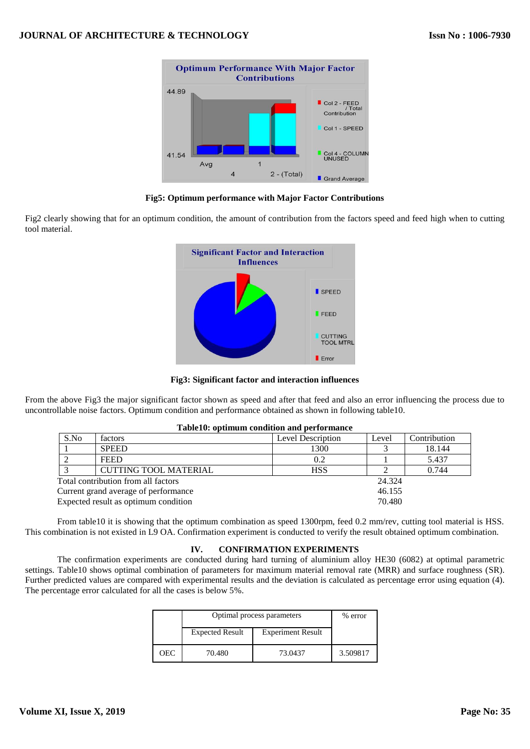

## **Fig5: Optimum performance with Major Factor Contributions**

Fig2 clearly showing that for an optimum condition, the amount of contribution from the factors speed and feed high when to cutting tool material.



**Fig3: Significant factor and interaction influences**

From the above Fig3 the major significant factor shown as speed and after that feed and also an error influencing the process due to uncontrollable noise factors. Optimum condition and performance obtained as shown in following table10.

| Table10: optimum condition and performance |                                      |                   |        |              |  |  |
|--------------------------------------------|--------------------------------------|-------------------|--------|--------------|--|--|
| S.No                                       | factors                              | Level Description | Level  | Contribution |  |  |
|                                            | <b>SPEED</b>                         | 1300              |        | 18.144       |  |  |
|                                            | <b>FEED</b>                          | 0.2               |        | 5.437        |  |  |
|                                            | <b>CUTTING TOOL MATERIAL</b>         | <b>HSS</b>        |        | 0.744        |  |  |
|                                            | Total contribution from all factors  |                   | 24.324 |              |  |  |
|                                            | Current grand average of performance |                   | 46.155 |              |  |  |
|                                            | Expected result as optimum condition |                   | 70.480 |              |  |  |

## From table10 it is showing that the optimum combination as speed 1300rpm, feed 0.2 mm/rev, cutting tool material is HSS. This combination is not existed in L9 OA. Confirmation experiment is conducted to verify the result obtained optimum combination.

## **IV. CONFIRMATION EXPERIMENTS**

The confirmation experiments are conducted during hard turning of aluminium alloy HE30 (6082) at optimal parametric settings. Table10 shows optimal combination of parameters for maximum material removal rate (MRR) and surface roughness (SR). Further predicted values are compared with experimental results and the deviation is calculated as percentage error using equation (4). The percentage error calculated for all the cases is below 5%.

|     | Optimal process parameters                         | % error |          |
|-----|----------------------------------------------------|---------|----------|
|     | <b>Experiment Result</b><br><b>Expected Result</b> |         |          |
| OEC | 70.480                                             | 73.0437 | 3.509817 |